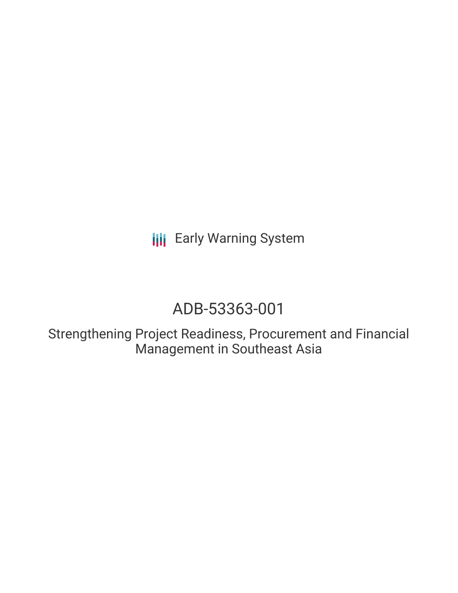**III** Early Warning System

# ADB-53363-001

Strengthening Project Readiness, Procurement and Financial Management in Southeast Asia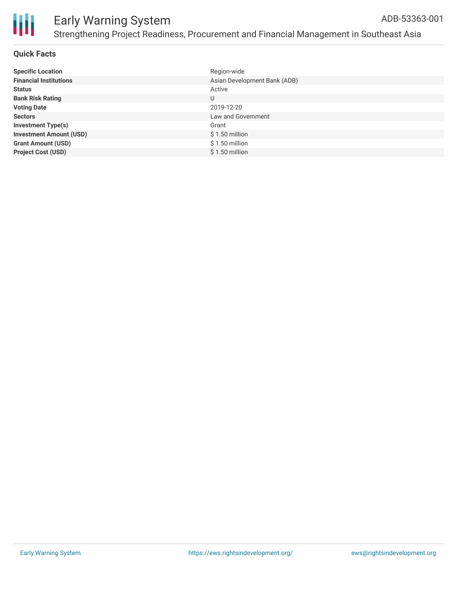

#### **Quick Facts**

| <b>Specific Location</b>       | Region-wide                  |
|--------------------------------|------------------------------|
| <b>Financial Institutions</b>  | Asian Development Bank (ADB) |
| <b>Status</b>                  | Active                       |
| <b>Bank Risk Rating</b>        | U                            |
| <b>Voting Date</b>             | 2019-12-20                   |
| <b>Sectors</b>                 | Law and Government           |
| <b>Investment Type(s)</b>      | Grant                        |
| <b>Investment Amount (USD)</b> | $$1.50$ million              |
| <b>Grant Amount (USD)</b>      | $$1.50$ million              |
| <b>Project Cost (USD)</b>      | \$1.50 million               |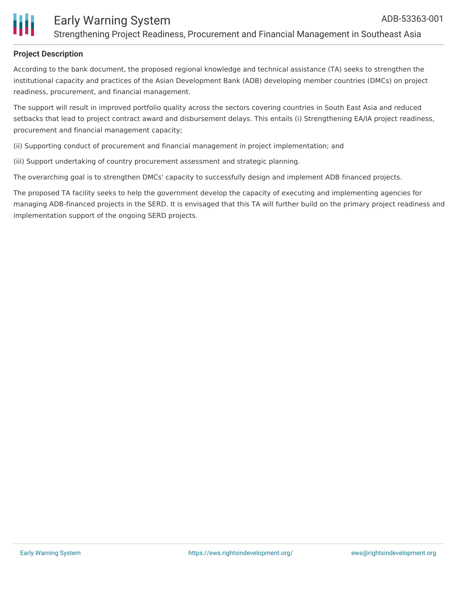

### **Project Description**

According to the bank document, the proposed regional knowledge and technical assistance (TA) seeks to strengthen the institutional capacity and practices of the Asian Development Bank (ADB) developing member countries (DMCs) on project readiness, procurement, and financial management.

The support will result in improved portfolio quality across the sectors covering countries in South East Asia and reduced setbacks that lead to project contract award and disbursement delays. This entails (i) Strengthening EA/IA project readiness, procurement and financial management capacity;

(ii) Supporting conduct of procurement and financial management in project implementation; and

(iii) Support undertaking of country procurement assessment and strategic planning.

The overarching goal is to strengthen DMCs' capacity to successfully design and implement ADB financed projects.

The proposed TA facility seeks to help the government develop the capacity of executing and implementing agencies for managing ADB-financed projects in the SERD. It is envisaged that this TA will further build on the primary project readiness and implementation support of the ongoing SERD projects.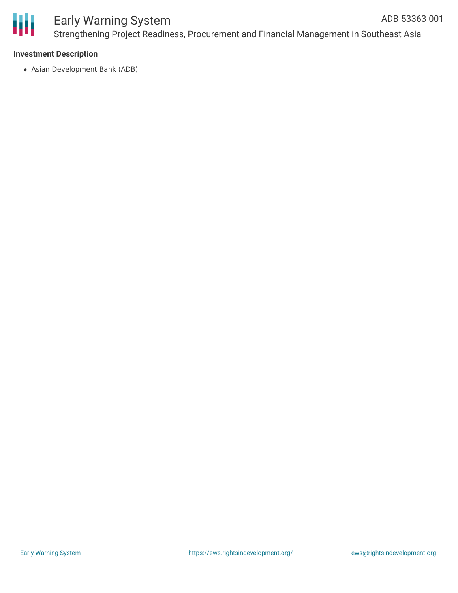

#### **Investment Description**

Asian Development Bank (ADB)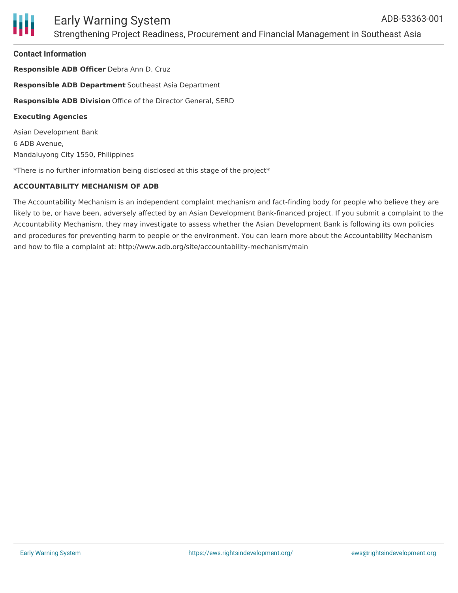#### **Contact Information**

**Responsible ADB Officer** Debra Ann D. Cruz **Responsible ADB Department** Southeast Asia Department **Responsible ADB Division** Office of the Director General, SERD **Executing Agencies** Asian Development Bank 6 ADB Avenue,

Mandaluyong City 1550, Philippines

\*There is no further information being disclosed at this stage of the project\*

#### **ACCOUNTABILITY MECHANISM OF ADB**

The Accountability Mechanism is an independent complaint mechanism and fact-finding body for people who believe they are likely to be, or have been, adversely affected by an Asian Development Bank-financed project. If you submit a complaint to the Accountability Mechanism, they may investigate to assess whether the Asian Development Bank is following its own policies and procedures for preventing harm to people or the environment. You can learn more about the Accountability Mechanism and how to file a complaint at: http://www.adb.org/site/accountability-mechanism/main